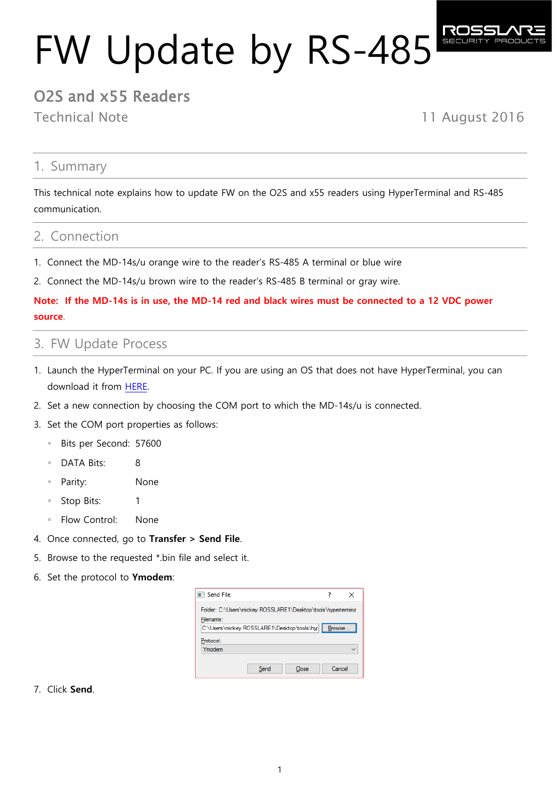# FW Update by RS-485

# O2S and x55 Readers

Technical Note 11 August 2016

## 1. Summary

This technical note explains how to update FW on the O2S and x55 readers using HyperTerminal and RS-485 communication.

## 2. Connection

- 1. Connect the MD-14s/u orange wire to the reader's RS-485 A terminal or blue wire
- 2. Connect the MD-14s/u brown wire to the reader's RS-485 B terminal or gray wire.

## **Note: If the MD-14s is in use, the MD-14 red and black wires must be connected to a 12 VDC power source**.

## 3. FW Update Process

- 1. Launch the HyperTerminal on your PC. If you are using an OS that does not have HyperTerminal, you can download it from [HERE.](https://my.pcloud.com/publink/show?code=XZ35NfZRXnePOxEILQd7G7v0jeEQyB6s34y)
- 2. Set a new connection by choosing the COM port to which the MD-14s/u is connected.
- 3. Set the COM port properties as follows:
	- Bits per Second: 57600
	- DATA Bits: 8
	- Parity: None
	- Stop Bits: 1
	- **Flow Control:** None
- 4. Once connected, go to **Transfer > Send File**.
- 5. Browse to the requested \*.bin file and select it.
- 6. Set the protocol to **Ymodem**:

| <b>No. Send File</b>                                         |      |       |         | × |
|--------------------------------------------------------------|------|-------|---------|---|
| Folder: C:\Users\mickey.ROSSLARE1\Desktop\tools\hypertermina |      |       |         |   |
| Filename:                                                    |      |       |         |   |
| C:\Users\mickey.ROSSLARE1\Desktop\tools\hyp                  |      |       | Browse. |   |
| Protocol:                                                    |      |       |         |   |
| Ymodem                                                       |      |       |         |   |
|                                                              |      |       |         |   |
|                                                              | Send | Close | Cancel  |   |
|                                                              |      |       |         |   |

## 7. Click **Send**.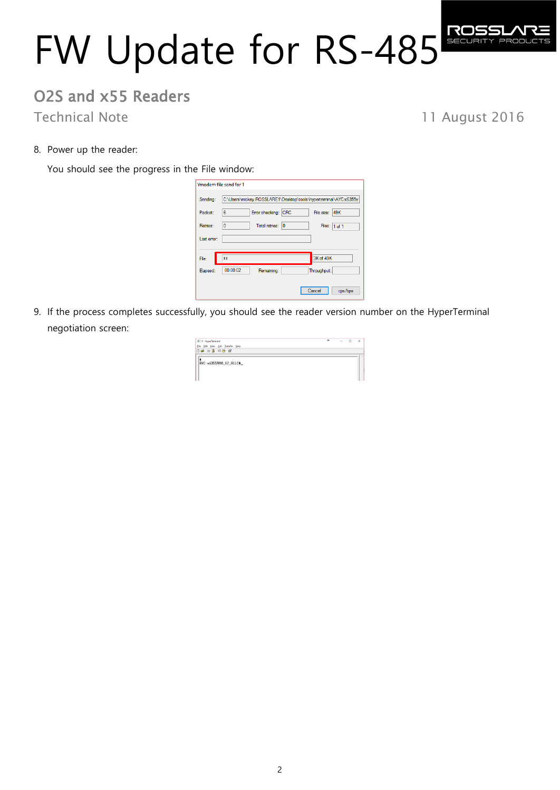# FW Update for RS-485

# O2S and x55 Readers

Technical Note 11 August 2016

8. Power up the reader:

You should see the progress in the File window:

|             | Ymodem file send for 1                                           |
|-------------|------------------------------------------------------------------|
| Sending:    | C:\Users\mickey.ROSSLARE1\Desktop\tools\hyperterminal\AYC-x6355v |
| Packet:     | Error checking: CRC<br>File size: 49K<br>6                       |
| Retries:    | Total retries: 0<br>0<br>Files: 1 of 1                           |
| Last error: |                                                                  |
|             |                                                                  |
| File:       | 3K of 49K<br>п.                                                  |
| Elapsed:    | 00:00:02<br>Throughput:<br>Remaining:                            |
|             | Cancel<br>cps/bps                                                |

9. If the process completes successfully, you should see the reader version number on the HyperTerminal negotiation screen:

| <b>II</b> 1 - HyperTerminal       | $\bullet\bullet$ | $\sim$ | $\Box$ | $\times$ |
|-----------------------------------|------------------|--------|--------|----------|
| Eile Edit View Call Transfer Help |                  |        |        |          |
| D = 0 3 0 8 6                     |                  |        |        |          |
| AVC-x6355V00_62_ALLC+_            |                  |        |        |          |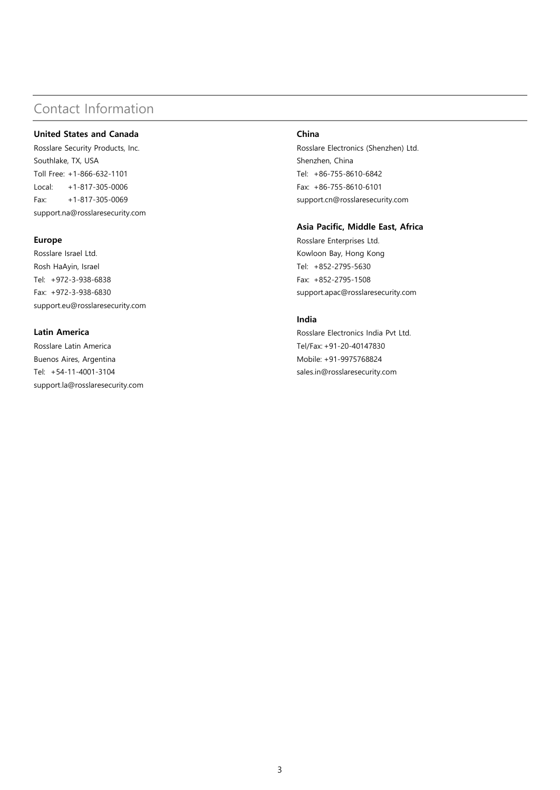# Contact Information

### **United States and Canada**

Rosslare Security Products, Inc. Southlake, TX, USA Toll Free: +1-866-632-1101 Local: +1-817-305-0006 Fax: +1-817-305-0069 support.na@rosslaresecurity.com

#### **Europe**

Rosslare Israel Ltd. Rosh HaAyin, Israel Tel: +972-3-938-6838 Fax: +972-3-938-6830 support.eu@rosslaresecurity.com

## **Latin America**

Rosslare Latin America Buenos Aires, Argentina Tel: +54-11-4001-3104 support.la@rosslaresecurity.com

#### **China**

Rosslare Electronics (Shenzhen) Ltd. Shenzhen, China Tel: +86-755-8610-6842 Fax: +86-755-8610-6101 support.cn@rosslaresecurity.com

## **Asia Pacific, Middle East, Africa**

Rosslare Enterprises Ltd. Kowloon Bay, Hong Kong Tel: +852-2795-5630 Fax: +852-2795-1508 support.apac@rosslaresecurity.com

## **India**

Rosslare Electronics India Pvt Ltd. Tel/Fax: +91-20-40147830 Mobile: +91-9975768824 sales.in@rosslaresecurity.com